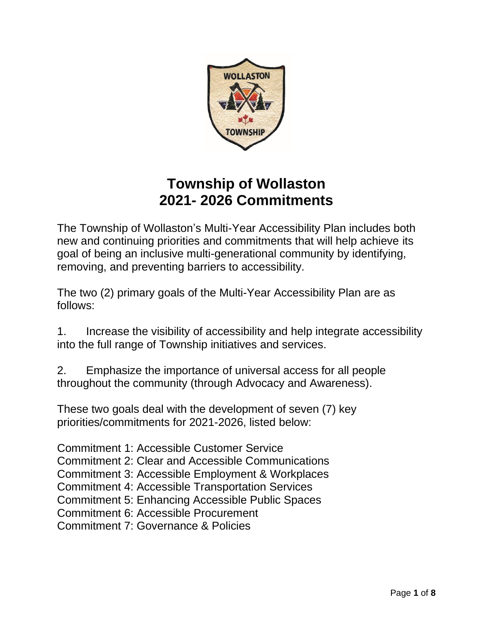

# **Township of Wollaston 2021- 2026 Commitments**

The Township of Wollaston's Multi-Year Accessibility Plan includes both new and continuing priorities and commitments that will help achieve its goal of being an inclusive multi-generational community by identifying, removing, and preventing barriers to accessibility.

The two (2) primary goals of the Multi-Year Accessibility Plan are as follows:

1. Increase the visibility of accessibility and help integrate accessibility into the full range of Township initiatives and services.

2. Emphasize the importance of universal access for all people throughout the community (through Advocacy and Awareness).

These two goals deal with the development of seven (7) key priorities/commitments for 2021-2026, listed below:

Commitment 1: Accessible Customer Service Commitment 2: Clear and Accessible Communications Commitment 3: Accessible Employment & Workplaces Commitment 4: Accessible Transportation Services Commitment 5: Enhancing Accessible Public Spaces Commitment 6: Accessible Procurement Commitment 7: Governance & Policies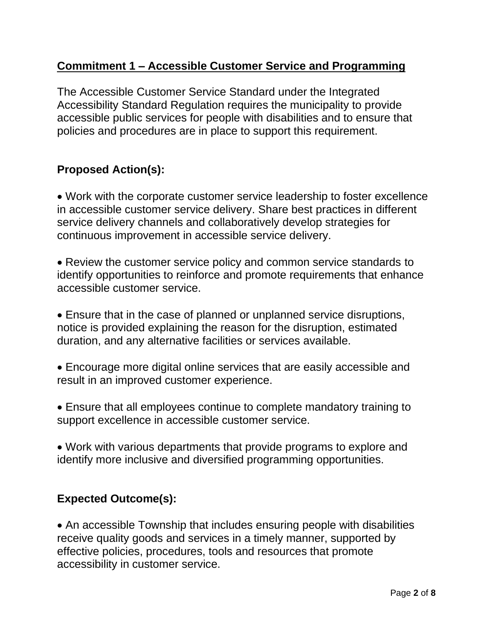# **Commitment 1 – Accessible Customer Service and Programming**

The Accessible Customer Service Standard under the Integrated Accessibility Standard Regulation requires the municipality to provide accessible public services for people with disabilities and to ensure that policies and procedures are in place to support this requirement.

# **Proposed Action(s):**

• Work with the corporate customer service leadership to foster excellence in accessible customer service delivery. Share best practices in different service delivery channels and collaboratively develop strategies for continuous improvement in accessible service delivery.

• Review the customer service policy and common service standards to identify opportunities to reinforce and promote requirements that enhance accessible customer service.

• Ensure that in the case of planned or unplanned service disruptions, notice is provided explaining the reason for the disruption, estimated duration, and any alternative facilities or services available.

• Encourage more digital online services that are easily accessible and result in an improved customer experience.

• Ensure that all employees continue to complete mandatory training to support excellence in accessible customer service.

• Work with various departments that provide programs to explore and identify more inclusive and diversified programming opportunities.

# **Expected Outcome(s):**

• An accessible Township that includes ensuring people with disabilities receive quality goods and services in a timely manner, supported by effective policies, procedures, tools and resources that promote accessibility in customer service.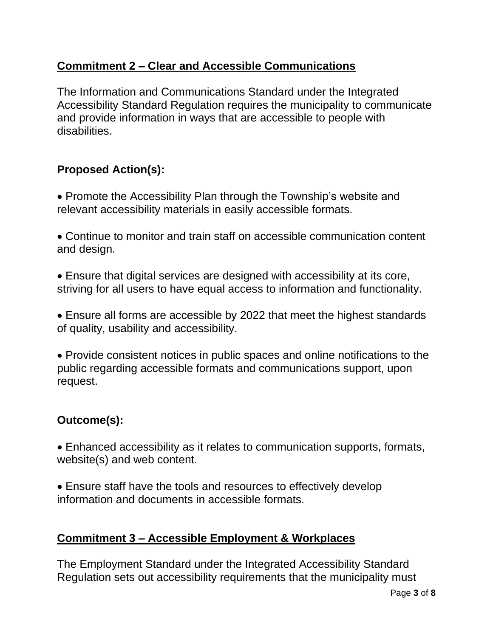# **Commitment 2 – Clear and Accessible Communications**

The Information and Communications Standard under the Integrated Accessibility Standard Regulation requires the municipality to communicate and provide information in ways that are accessible to people with disabilities.

# **Proposed Action(s):**

- Promote the Accessibility Plan through the Township's website and relevant accessibility materials in easily accessible formats.
- Continue to monitor and train staff on accessible communication content and design.
- Ensure that digital services are designed with accessibility at its core, striving for all users to have equal access to information and functionality.
- Ensure all forms are accessible by 2022 that meet the highest standards of quality, usability and accessibility.
- Provide consistent notices in public spaces and online notifications to the public regarding accessible formats and communications support, upon request.

# **Outcome(s):**

- Enhanced accessibility as it relates to communication supports, formats, website(s) and web content.
- Ensure staff have the tools and resources to effectively develop information and documents in accessible formats.

# **Commitment 3 – Accessible Employment & Workplaces**

The Employment Standard under the Integrated Accessibility Standard Regulation sets out accessibility requirements that the municipality must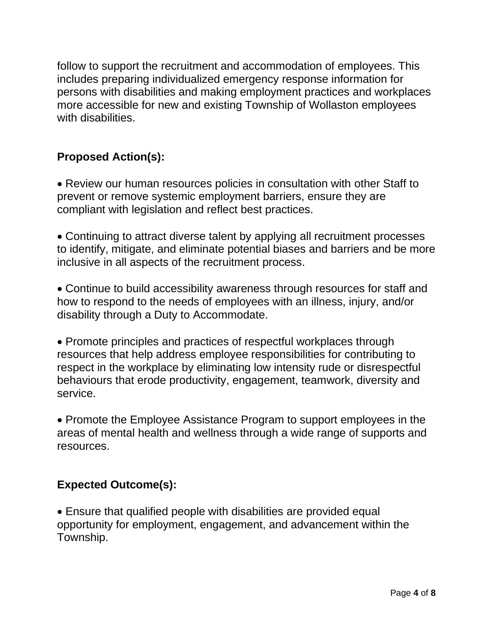follow to support the recruitment and accommodation of employees. This includes preparing individualized emergency response information for persons with disabilities and making employment practices and workplaces more accessible for new and existing Township of Wollaston employees with disabilities.

# **Proposed Action(s):**

• Review our human resources policies in consultation with other Staff to prevent or remove systemic employment barriers, ensure they are compliant with legislation and reflect best practices.

• Continuing to attract diverse talent by applying all recruitment processes to identify, mitigate, and eliminate potential biases and barriers and be more inclusive in all aspects of the recruitment process.

• Continue to build accessibility awareness through resources for staff and how to respond to the needs of employees with an illness, injury, and/or disability through a Duty to Accommodate.

• Promote principles and practices of respectful workplaces through resources that help address employee responsibilities for contributing to respect in the workplace by eliminating low intensity rude or disrespectful behaviours that erode productivity, engagement, teamwork, diversity and service.

• Promote the Employee Assistance Program to support employees in the areas of mental health and wellness through a wide range of supports and resources.

# **Expected Outcome(s):**

• Ensure that qualified people with disabilities are provided equal opportunity for employment, engagement, and advancement within the Township.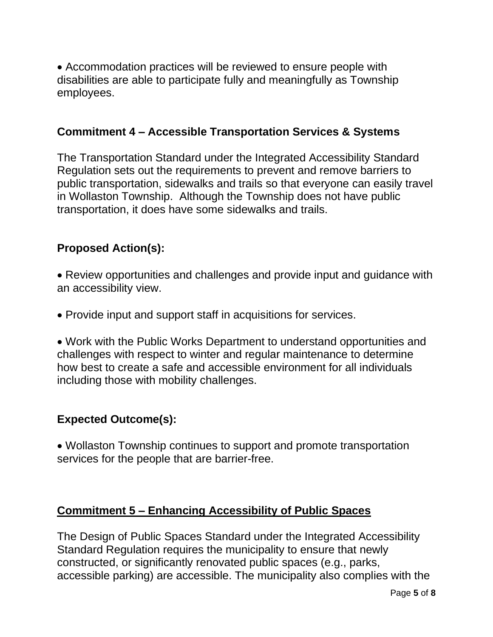• Accommodation practices will be reviewed to ensure people with disabilities are able to participate fully and meaningfully as Township employees.

#### **Commitment 4 – Accessible Transportation Services & Systems**

The Transportation Standard under the Integrated Accessibility Standard Regulation sets out the requirements to prevent and remove barriers to public transportation, sidewalks and trails so that everyone can easily travel in Wollaston Township. Although the Township does not have public transportation, it does have some sidewalks and trails.

#### **Proposed Action(s):**

• Review opportunities and challenges and provide input and guidance with an accessibility view.

• Provide input and support staff in acquisitions for services.

• Work with the Public Works Department to understand opportunities and challenges with respect to winter and regular maintenance to determine how best to create a safe and accessible environment for all individuals including those with mobility challenges.

#### **Expected Outcome(s):**

• Wollaston Township continues to support and promote transportation services for the people that are barrier-free.

#### **Commitment 5 – Enhancing Accessibility of Public Spaces**

The Design of Public Spaces Standard under the Integrated Accessibility Standard Regulation requires the municipality to ensure that newly constructed, or significantly renovated public spaces (e.g., parks, accessible parking) are accessible. The municipality also complies with the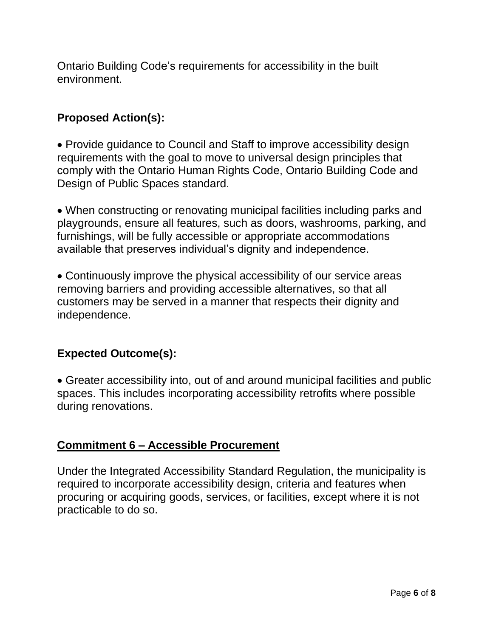Ontario Building Code's requirements for accessibility in the built environment.

# **Proposed Action(s):**

• Provide guidance to Council and Staff to improve accessibility design requirements with the goal to move to universal design principles that comply with the Ontario Human Rights Code, Ontario Building Code and Design of Public Spaces standard.

• When constructing or renovating municipal facilities including parks and playgrounds, ensure all features, such as doors, washrooms, parking, and furnishings, will be fully accessible or appropriate accommodations available that preserves individual's dignity and independence.

• Continuously improve the physical accessibility of our service areas removing barriers and providing accessible alternatives, so that all customers may be served in a manner that respects their dignity and independence.

# **Expected Outcome(s):**

• Greater accessibility into, out of and around municipal facilities and public spaces. This includes incorporating accessibility retrofits where possible during renovations.

#### **Commitment 6 – Accessible Procurement**

Under the Integrated Accessibility Standard Regulation, the municipality is required to incorporate accessibility design, criteria and features when procuring or acquiring goods, services, or facilities, except where it is not practicable to do so.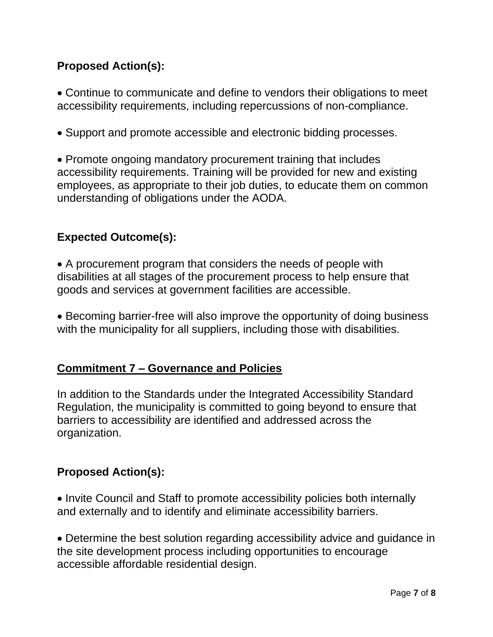# **Proposed Action(s):**

• Continue to communicate and define to vendors their obligations to meet accessibility requirements, including repercussions of non-compliance.

• Support and promote accessible and electronic bidding processes.

• Promote ongoing mandatory procurement training that includes accessibility requirements. Training will be provided for new and existing employees, as appropriate to their job duties, to educate them on common understanding of obligations under the AODA.

# **Expected Outcome(s):**

• A procurement program that considers the needs of people with disabilities at all stages of the procurement process to help ensure that goods and services at government facilities are accessible.

• Becoming barrier-free will also improve the opportunity of doing business with the municipality for all suppliers, including those with disabilities.

# **Commitment 7 – Governance and Policies**

In addition to the Standards under the Integrated Accessibility Standard Regulation, the municipality is committed to going beyond to ensure that barriers to accessibility are identified and addressed across the organization.

# **Proposed Action(s):**

• Invite Council and Staff to promote accessibility policies both internally and externally and to identify and eliminate accessibility barriers.

• Determine the best solution regarding accessibility advice and guidance in the site development process including opportunities to encourage accessible affordable residential design.